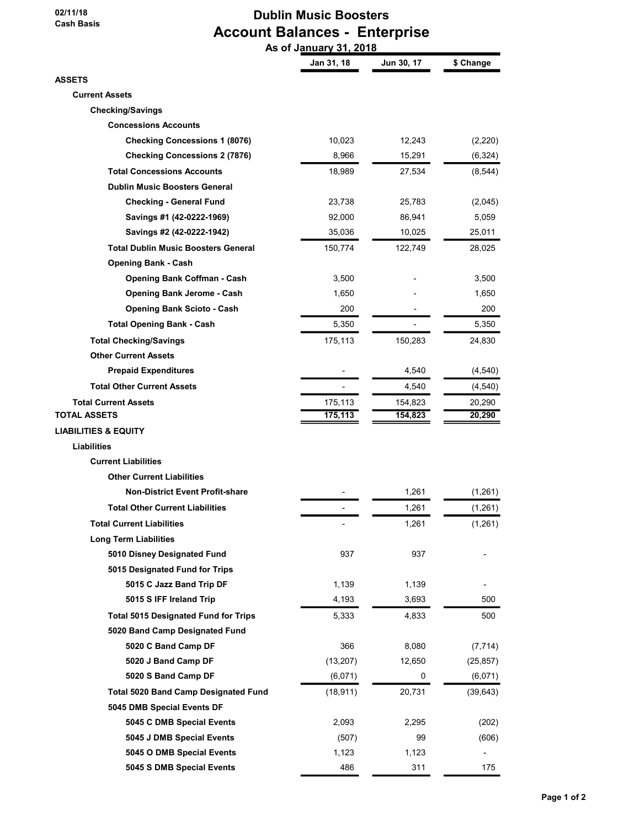02/11/18 Cash Basis

# Dublin Music Boosters Account Balances - Enterprise As of January 31, 2018

|                                             | Jan 31, 18 | Jun 30, 17 | \$ Change |
|---------------------------------------------|------------|------------|-----------|
| <b>ASSETS</b>                               |            |            |           |
| <b>Current Assets</b>                       |            |            |           |
| <b>Checking/Savings</b>                     |            |            |           |
| <b>Concessions Accounts</b>                 |            |            |           |
| <b>Checking Concessions 1 (8076)</b>        | 10,023     | 12,243     | (2,220)   |
| <b>Checking Concessions 2 (7876)</b>        | 8,966      | 15,291     | (6,324)   |
| <b>Total Concessions Accounts</b>           | 18,989     | 27,534     | (8, 544)  |
| <b>Dublin Music Boosters General</b>        |            |            |           |
| <b>Checking - General Fund</b>              | 23,738     | 25,783     | (2,045)   |
| Savings #1 (42-0222-1969)                   | 92,000     | 86,941     | 5,059     |
| Savings #2 (42-0222-1942)                   | 35,036     | 10,025     | 25,011    |
| <b>Total Dublin Music Boosters General</b>  | 150,774    | 122,749    | 28,025    |
| <b>Opening Bank - Cash</b>                  |            |            |           |
| <b>Opening Bank Coffman - Cash</b>          | 3,500      |            | 3,500     |
| <b>Opening Bank Jerome - Cash</b>           | 1,650      |            | 1,650     |
| <b>Opening Bank Scioto - Cash</b>           | 200        |            | 200       |
| <b>Total Opening Bank - Cash</b>            | 5,350      |            | 5,350     |
| <b>Total Checking/Savings</b>               | 175,113    | 150,283    | 24,830    |
| <b>Other Current Assets</b>                 |            |            |           |
| <b>Prepaid Expenditures</b>                 |            | 4,540      | (4, 540)  |
| <b>Total Other Current Assets</b>           |            | 4,540      | (4, 540)  |
| <b>Total Current Assets</b>                 | 175,113    | 154,823    | 20,290    |
| TOTAL ASSETS                                | 175,113    | 154,823    | 20,290    |
| <b>LIABILITIES &amp; EQUITY</b>             |            |            |           |
| <b>Liabilities</b>                          |            |            |           |
| <b>Current Liabilities</b>                  |            |            |           |
| <b>Other Current Liabilities</b>            |            |            |           |
| <b>Non-District Event Profit-share</b>      |            | 1,261      | (1, 261)  |
| <b>Total Other Current Liabilities</b>      |            | 1,261      | (1,261)   |
| <b>Total Current Liabilities</b>            |            | 1,261      | (1, 261)  |
| <b>Long Term Liabilities</b>                |            |            |           |
| 5010 Disney Designated Fund                 | 937        | 937        |           |
| 5015 Designated Fund for Trips              |            |            |           |
| 5015 C Jazz Band Trip DF                    | 1,139      | 1,139      |           |
| 5015 S IFF Ireland Trip                     | 4,193      | 3,693      | 500       |
| <b>Total 5015 Designated Fund for Trips</b> | 5,333      | 4,833      | 500       |
| 5020 Band Camp Designated Fund              |            |            |           |
| 5020 C Band Camp DF                         | 366        | 8,080      | (7, 714)  |
| 5020 J Band Camp DF                         | (13,207)   | 12,650     | (25, 857) |
| 5020 S Band Camp DF                         | (6,071)    | 0          | (6,071)   |
| <b>Total 5020 Band Camp Designated Fund</b> | (18, 911)  | 20,731     | (39, 643) |
| 5045 DMB Special Events DF                  |            |            |           |
| 5045 C DMB Special Events                   | 2,093      | 2,295      | (202)     |
| 5045 J DMB Special Events                   | (507)      | 99         | (606)     |
| 5045 O DMB Special Events                   | 1,123      | 1,123      |           |
| 5045 S DMB Special Events                   | 486        | 311        | 175       |
|                                             |            |            |           |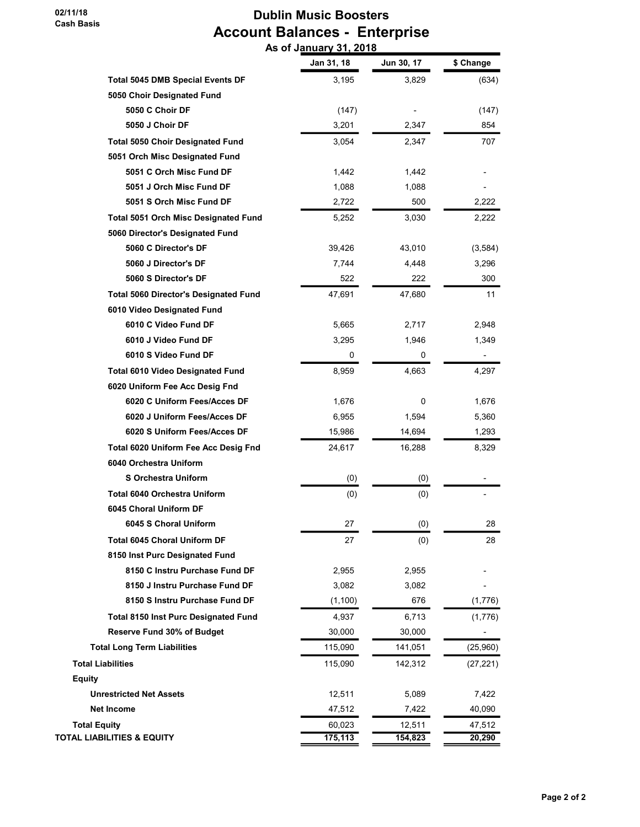# Dublin Music Boosters Account Balances - Enterprise As of January 31, 2018

|                                              | Jan 31, 18 | Jun 30, 17 | \$ Change |
|----------------------------------------------|------------|------------|-----------|
| <b>Total 5045 DMB Special Events DF</b>      | 3,195      | 3,829      | (634)     |
| 5050 Choir Designated Fund                   |            |            |           |
| 5050 C Choir DF                              | (147)      |            | (147)     |
| 5050 J Choir DF                              | 3,201      | 2,347      | 854       |
| <b>Total 5050 Choir Designated Fund</b>      | 3,054      | 2,347      | 707       |
| 5051 Orch Misc Designated Fund               |            |            |           |
| 5051 C Orch Misc Fund DF                     | 1,442      | 1,442      |           |
| 5051 J Orch Misc Fund DF                     | 1,088      | 1,088      |           |
| 5051 S Orch Misc Fund DF                     | 2,722      | 500        | 2,222     |
| <b>Total 5051 Orch Misc Designated Fund</b>  | 5,252      | 3,030      | 2,222     |
| 5060 Director's Designated Fund              |            |            |           |
| 5060 C Director's DF                         | 39,426     | 43,010     | (3,584)   |
| 5060 J Director's DF                         | 7,744      | 4,448      | 3,296     |
| 5060 S Director's DF                         | 522        | 222        | 300       |
| <b>Total 5060 Director's Designated Fund</b> | 47,691     | 47,680     | 11        |
| 6010 Video Designated Fund                   |            |            |           |
| 6010 C Video Fund DF                         | 5,665      | 2,717      | 2,948     |
| 6010 J Video Fund DF                         | 3,295      | 1,946      | 1,349     |
| 6010 S Video Fund DF                         | 0          | 0          |           |
| <b>Total 6010 Video Designated Fund</b>      | 8,959      | 4,663      | 4,297     |
| 6020 Uniform Fee Acc Desig Fnd               |            |            |           |
| 6020 C Uniform Fees/Acces DF                 | 1,676      | 0          | 1,676     |
| 6020 J Uniform Fees/Acces DF                 | 6,955      | 1,594      | 5,360     |
| 6020 S Uniform Fees/Acces DF                 | 15,986     | 14,694     | 1,293     |
| Total 6020 Uniform Fee Acc Desig Fnd         | 24,617     | 16,288     | 8,329     |
| 6040 Orchestra Uniform                       |            |            |           |
| <b>S Orchestra Uniform</b>                   | (0)        | (0)        |           |
| <b>Total 6040 Orchestra Uniform</b>          | (0)        | (0)        |           |
| 6045 Choral Uniform DF                       |            |            |           |
| 6045 S Choral Uniform                        | 27         | (0)        | 28        |
| Total 6045 Choral Uniform DF                 | 27         | (0)        | 28        |
| 8150 Inst Purc Designated Fund               |            |            |           |
| 8150 C Instru Purchase Fund DF               | 2,955      | 2,955      |           |
| 8150 J Instru Purchase Fund DF               | 3,082      | 3,082      |           |
| 8150 S Instru Purchase Fund DF               | (1,100)    | 676        | (1,776)   |
| <b>Total 8150 Inst Purc Designated Fund</b>  | 4,937      | 6,713      | (1,776)   |
| <b>Reserve Fund 30% of Budget</b>            | 30,000     | 30,000     |           |
| <b>Total Long Term Liabilities</b>           | 115,090    | 141,051    | (25,960)  |
| <b>Total Liabilities</b>                     | 115,090    | 142,312    | (27, 221) |
| <b>Equity</b>                                |            |            |           |
| <b>Unrestricted Net Assets</b>               | 12,511     | 5,089      | 7,422     |
| <b>Net Income</b>                            | 47,512     | 7,422      | 40,090    |
| <b>Total Equity</b>                          | 60,023     | 12,511     | 47,512    |
| <b>TOTAL LIABILITIES &amp; EQUITY</b>        | 175,113    | 154,823    | 20,290    |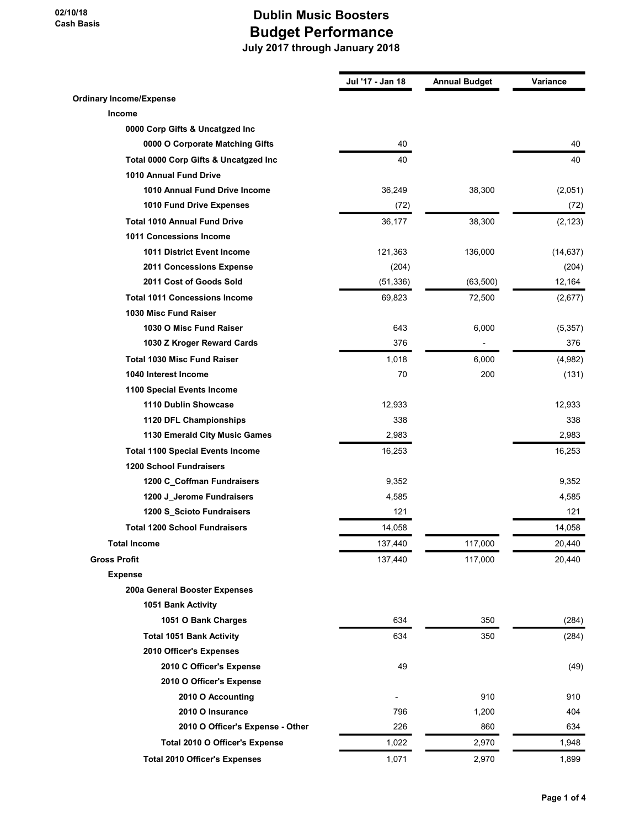|                                         | Jul '17 - Jan 18 | <b>Annual Budget</b> | Variance  |
|-----------------------------------------|------------------|----------------------|-----------|
| <b>Ordinary Income/Expense</b>          |                  |                      |           |
| Income                                  |                  |                      |           |
| 0000 Corp Gifts & Uncatgzed Inc         |                  |                      |           |
| 0000 O Corporate Matching Gifts         | 40               |                      | 40        |
| Total 0000 Corp Gifts & Uncatgzed Inc   | 40               |                      | 40        |
| 1010 Annual Fund Drive                  |                  |                      |           |
| 1010 Annual Fund Drive Income           | 36,249           | 38,300               | (2,051)   |
| 1010 Fund Drive Expenses                | (72)             |                      | (72)      |
| <b>Total 1010 Annual Fund Drive</b>     | 36,177           | 38,300               | (2, 123)  |
| 1011 Concessions Income                 |                  |                      |           |
| <b>1011 District Event Income</b>       | 121,363          | 136,000              | (14, 637) |
| 2011 Concessions Expense                | (204)            |                      | (204)     |
| 2011 Cost of Goods Sold                 | (51, 336)        | (63, 500)            | 12,164    |
| <b>Total 1011 Concessions Income</b>    | 69,823           | 72,500               | (2,677)   |
| 1030 Misc Fund Raiser                   |                  |                      |           |
| 1030 O Misc Fund Raiser                 | 643              | 6,000                | (5,357)   |
| 1030 Z Kroger Reward Cards              | 376              |                      | 376       |
| <b>Total 1030 Misc Fund Raiser</b>      | 1,018            | 6,000                | (4,982)   |
| 1040 Interest Income                    | 70               | 200                  | (131)     |
| 1100 Special Events Income              |                  |                      |           |
| 1110 Dublin Showcase                    | 12,933           |                      | 12,933    |
| 1120 DFL Championships                  | 338              |                      | 338       |
| 1130 Emerald City Music Games           | 2,983            |                      | 2,983     |
| <b>Total 1100 Special Events Income</b> | 16,253           |                      | 16,253    |
| <b>1200 School Fundraisers</b>          |                  |                      |           |
| 1200 C_Coffman Fundraisers              | 9,352            |                      | 9,352     |
| 1200 J_Jerome Fundraisers               | 4,585            |                      | 4,585     |
| 1200 S_Scioto Fundraisers               | 121              |                      | 121       |
| <b>Total 1200 School Fundraisers</b>    | 14,058           |                      | 14,058    |
| <b>Total Income</b>                     | 137,440          | 117,000              | 20,440    |
| <b>Gross Profit</b>                     | 137,440          | 117,000              | 20,440    |
| <b>Expense</b>                          |                  |                      |           |
| 200a General Booster Expenses           |                  |                      |           |
| 1051 Bank Activity                      |                  |                      |           |
| 1051 O Bank Charges                     | 634              | 350                  | (284)     |
| <b>Total 1051 Bank Activity</b>         | 634              | 350                  | (284)     |
| 2010 Officer's Expenses                 |                  |                      |           |
| 2010 C Officer's Expense                | 49               |                      | (49)      |
| 2010 O Officer's Expense                |                  |                      |           |
| 2010 O Accounting                       |                  | 910                  | 910       |
| 2010 O Insurance                        | 796              | 1,200                | 404       |
| 2010 O Officer's Expense - Other        | 226              | 860                  | 634       |
| Total 2010 O Officer's Expense          | 1,022            | 2,970                | 1,948     |
| <b>Total 2010 Officer's Expenses</b>    | 1,071            | 2,970                | 1,899     |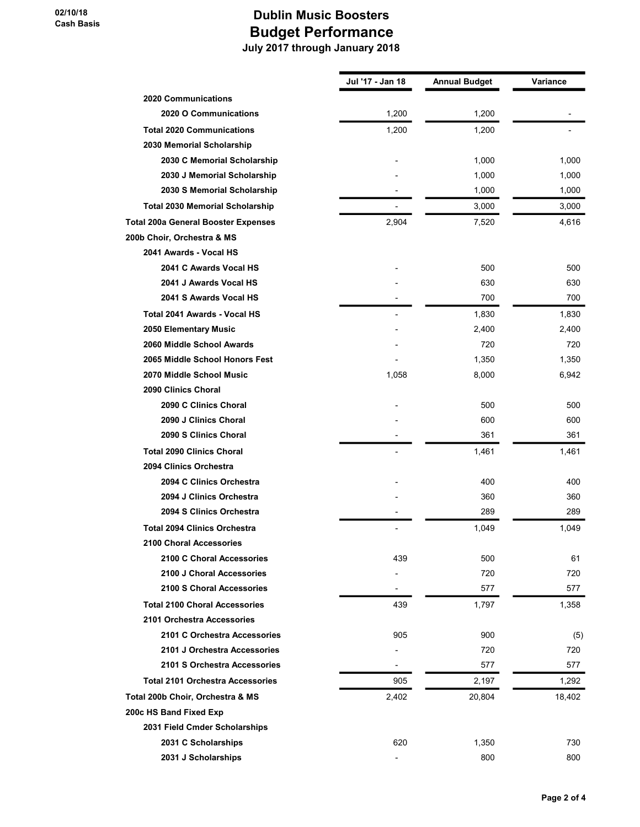|                                            | Jul '17 - Jan 18 | <b>Annual Budget</b> | Variance |
|--------------------------------------------|------------------|----------------------|----------|
| <b>2020 Communications</b>                 |                  |                      |          |
| 2020 O Communications                      | 1,200            | 1,200                |          |
| <b>Total 2020 Communications</b>           | 1,200            | 1,200                |          |
| 2030 Memorial Scholarship                  |                  |                      |          |
| 2030 C Memorial Scholarship                |                  | 1,000                | 1,000    |
| 2030 J Memorial Scholarship                |                  | 1,000                | 1,000    |
| 2030 S Memorial Scholarship                |                  | 1,000                | 1,000    |
| <b>Total 2030 Memorial Scholarship</b>     |                  | 3,000                | 3,000    |
| <b>Total 200a General Booster Expenses</b> | 2,904            | 7,520                | 4,616    |
| 200b Choir, Orchestra & MS                 |                  |                      |          |
| 2041 Awards - Vocal HS                     |                  |                      |          |
| 2041 C Awards Vocal HS                     |                  | 500                  | 500      |
| 2041 J Awards Vocal HS                     |                  | 630                  | 630      |
| 2041 S Awards Vocal HS                     |                  | 700                  | 700      |
| Total 2041 Awards - Vocal HS               |                  | 1,830                | 1,830    |
| 2050 Elementary Music                      |                  | 2,400                | 2,400    |
| 2060 Middle School Awards                  |                  | 720                  | 720      |
| 2065 Middle School Honors Fest             |                  | 1,350                | 1,350    |
| 2070 Middle School Music                   | 1,058            | 8,000                | 6,942    |
| 2090 Clinics Choral                        |                  |                      |          |
| 2090 C Clinics Choral                      |                  | 500                  | 500      |
| 2090 J Clinics Choral                      |                  | 600                  | 600      |
| 2090 S Clinics Choral                      |                  | 361                  | 361      |
| <b>Total 2090 Clinics Choral</b>           |                  | 1,461                | 1,461    |
| 2094 Clinics Orchestra                     |                  |                      |          |
| 2094 C Clinics Orchestra                   |                  | 400                  | 400      |
| 2094 J Clinics Orchestra                   |                  | 360                  | 360      |
| 2094 S Clinics Orchestra                   |                  | 289                  | 289      |
| <b>Total 2094 Clinics Orchestra</b>        | $\overline{a}$   | 1,049                | 1,049    |
| 2100 Choral Accessories                    |                  |                      |          |
| 2100 C Choral Accessories                  | 439              | 500                  | 61       |
| 2100 J Choral Accessories                  |                  | 720                  | 720      |
| 2100 S Choral Accessories                  |                  | 577                  | 577      |
| <b>Total 2100 Choral Accessories</b>       | 439              | 1,797                | 1,358    |
| 2101 Orchestra Accessories                 |                  |                      |          |
| 2101 C Orchestra Accessories               | 905              | 900                  | (5)      |
| 2101 J Orchestra Accessories               |                  | 720                  | 720      |
| 2101 S Orchestra Accessories               |                  | 577                  | 577      |
| <b>Total 2101 Orchestra Accessories</b>    | 905              | 2,197                | 1,292    |
| Total 200b Choir, Orchestra & MS           | 2,402            | 20,804               | 18,402   |
| 200c HS Band Fixed Exp                     |                  |                      |          |
| 2031 Field Cmder Scholarships              |                  |                      |          |
| 2031 C Scholarships                        | 620              | 1,350                | 730      |
| 2031 J Scholarships                        |                  | 800                  | 800      |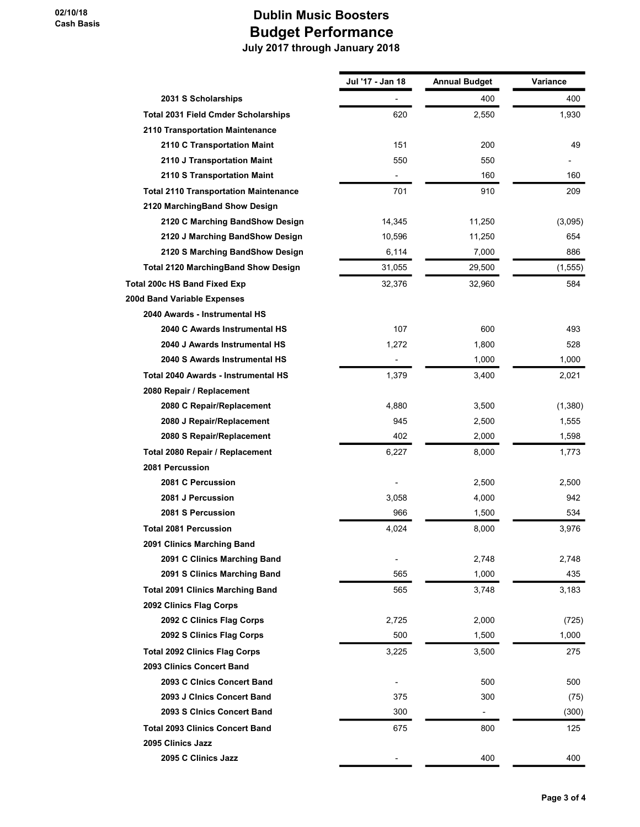|                                              | Jul '17 - Jan 18 | <b>Annual Budget</b>     | Variance |
|----------------------------------------------|------------------|--------------------------|----------|
| 2031 S Scholarships                          |                  | 400                      | 400      |
| <b>Total 2031 Field Cmder Scholarships</b>   | 620              | 2,550                    | 1,930    |
| 2110 Transportation Maintenance              |                  |                          |          |
| 2110 C Transportation Maint                  | 151              | 200                      | 49       |
| 2110 J Transportation Maint                  | 550              | 550                      |          |
| 2110 S Transportation Maint                  |                  | 160                      | 160      |
| <b>Total 2110 Transportation Maintenance</b> | 701              | 910                      | 209      |
| 2120 MarchingBand Show Design                |                  |                          |          |
| 2120 C Marching BandShow Design              | 14,345           | 11,250                   | (3,095)  |
| 2120 J Marching BandShow Design              | 10,596           | 11,250                   | 654      |
| 2120 S Marching BandShow Design              | 6,114            | 7,000                    | 886      |
| <b>Total 2120 MarchingBand Show Design</b>   | 31,055           | 29,500                   | (1, 555) |
| Total 200c HS Band Fixed Exp                 | 32,376           | 32,960                   | 584      |
| 200d Band Variable Expenses                  |                  |                          |          |
| 2040 Awards - Instrumental HS                |                  |                          |          |
| 2040 C Awards Instrumental HS                | 107              | 600                      | 493      |
| 2040 J Awards Instrumental HS                | 1,272            | 1,800                    | 528      |
| 2040 S Awards Instrumental HS                | $\overline{a}$   | 1,000                    | 1,000    |
| Total 2040 Awards - Instrumental HS          | 1,379            | 3,400                    | 2,021    |
| 2080 Repair / Replacement                    |                  |                          |          |
| 2080 C Repair/Replacement                    | 4,880            | 3,500                    | (1,380)  |
| 2080 J Repair/Replacement                    | 945              | 2,500                    | 1,555    |
| 2080 S Repair/Replacement                    | 402              | 2,000                    | 1,598    |
| Total 2080 Repair / Replacement              | 6,227            | 8,000                    | 1,773    |
| 2081 Percussion                              |                  |                          |          |
| 2081 C Percussion                            |                  | 2,500                    | 2,500    |
| 2081 J Percussion                            | 3,058            | 4,000                    | 942      |
| 2081 S Percussion                            | 966              | 1,500                    | 534      |
| <b>Total 2081 Percussion</b>                 | 4,024            | 8,000                    | 3,976    |
| 2091 Clinics Marching Band                   |                  |                          |          |
| 2091 C Clinics Marching Band                 |                  | 2,748                    | 2,748    |
| 2091 S Clinics Marching Band                 | 565              | 1,000                    | 435      |
| <b>Total 2091 Clinics Marching Band</b>      | 565              | 3,748                    | 3,183    |
| 2092 Clinics Flag Corps                      |                  |                          |          |
| 2092 C Clinics Flag Corps                    | 2,725            | 2,000                    | (725)    |
| 2092 S Clinics Flag Corps                    | 500              | 1,500                    | 1,000    |
| <b>Total 2092 Clinics Flag Corps</b>         | 3,225            | 3,500                    | 275      |
| 2093 Clinics Concert Band                    |                  |                          |          |
| 2093 C Cinics Concert Band                   |                  | 500                      | 500      |
| 2093 J Clnics Concert Band                   | 375              | 300                      | (75)     |
| 2093 S CInics Concert Band                   | 300              | $\overline{\phantom{a}}$ | (300)    |
| <b>Total 2093 Clinics Concert Band</b>       | 675              | 800                      | 125      |
| 2095 Clinics Jazz                            |                  |                          |          |
| 2095 C Clinics Jazz                          |                  | 400                      | 400      |
|                                              |                  |                          |          |